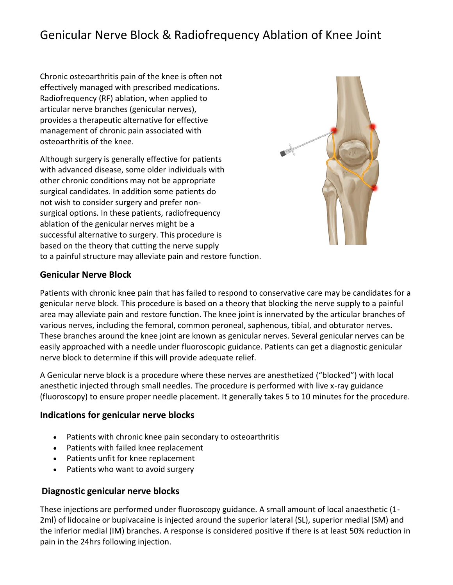# Genicular Nerve Block & Radiofrequency Ablation of Knee Joint

Chronic osteoarthritis pain of the knee is often not effectively managed with prescribed medications. Radiofrequency (RF) ablation, when applied to articular nerve branches (genicular nerves), provides a therapeutic alternative for effective management of chronic pain associated with osteoarthritis of the knee.

Although surgery is generally effective for patients with advanced disease, some older individuals with other chronic conditions may not be appropriate surgical candidates. In addition some patients do not wish to consider surgery and prefer nonsurgical options. In these patients, radiofrequency ablation of the genicular nerves might be a successful alternative to surgery. This procedure is based on the theory that cutting the nerve supply to a painful structure may alleviate pain and restore function.



#### **Genicular Nerve Block**

Patients with chronic knee pain that has failed to respond to conservative care may be candidates for a genicular nerve block. This procedure is based on a theory that blocking the nerve supply to a painful area may alleviate pain and restore function. The knee joint is innervated by the articular branches of various nerves, including the femoral, common peroneal, saphenous, tibial, and obturator nerves. These branches around the knee joint are known as genicular nerves. Several genicular nerves can be easily approached with a needle under fluoroscopic guidance. Patients can get a diagnostic genicular nerve block to determine if this will provide adequate relief.

A Genicular nerve block is a procedure where these nerves are anesthetized ("blocked") with local anesthetic injected through small needles. The procedure is performed with live x-ray guidance (fluoroscopy) to ensure proper needle placement. It generally takes 5 to 10 minutes for the procedure.

#### **Indications for genicular nerve blocks**

- Patients with chronic knee pain secondary to osteoarthritis
- Patients with failed knee replacement
- Patients unfit for knee replacement
- Patients who want to avoid surgery

#### **Diagnostic genicular nerve blocks**

These injections are performed under fluoroscopy guidance. A small amount of local anaesthetic (1- 2ml) of lidocaine or bupivacaine is injected around the superior lateral (SL), superior medial (SM) and the inferior medial (IM) branches. A response is considered positive if there is at least 50% reduction in pain in the 24hrs following injection.